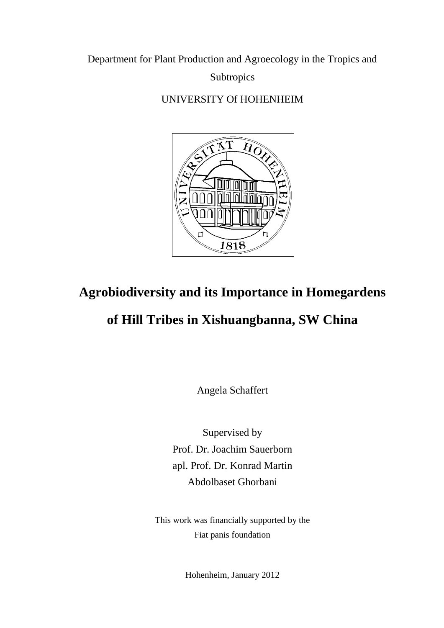Department for Plant Production and Agroecology in the Tropics and

**Subtropics** 

UNIVERSITY Of HOHENHEIM



## **Agrobiodiversity and its Importance in Homegardens**

## **of Hill Tribes in Xishuangbanna, SW China**

Angela Schaffert

Supervised by Prof. Dr. Joachim Sauerborn apl. Prof. Dr. Konrad Martin Abdolbaset Ghorbani

This work was financially supported by the Fiat panis foundation

Hohenheim, January 2012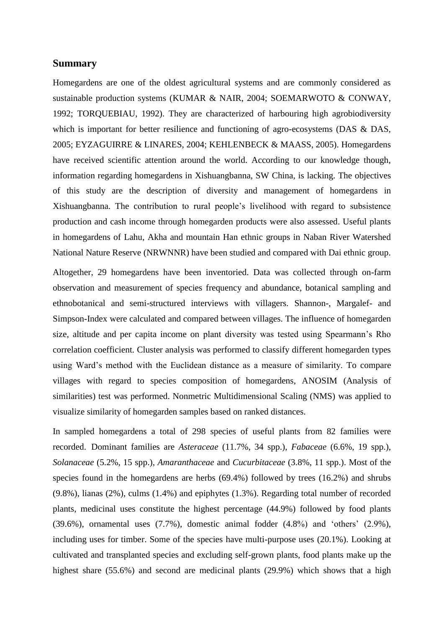## **Summary**

Homegardens are one of the oldest agricultural systems and are commonly considered as sustainable production systems (KUMAR & NAIR, 2004; SOEMARWOTO & CONWAY, 1992; TORQUEBIAU, 1992). They are characterized of harbouring high agrobiodiversity which is important for better resilience and functioning of agro-ecosystems (DAS & DAS, 2005; EYZAGUIRRE & LINARES, 2004; KEHLENBECK & MAASS, 2005). Homegardens have received scientific attention around the world. According to our knowledge though, information regarding homegardens in Xishuangbanna, SW China, is lacking. The objectives of this study are the description of diversity and management of homegardens in Xishuangbanna. The contribution to rural people's livelihood with regard to subsistence production and cash income through homegarden products were also assessed. Useful plants in homegardens of Lahu, Akha and mountain Han ethnic groups in Naban River Watershed National Nature Reserve (NRWNNR) have been studied and compared with Dai ethnic group.

Altogether, 29 homegardens have been inventoried. Data was collected through on-farm observation and measurement of species frequency and abundance, botanical sampling and ethnobotanical and semi-structured interviews with villagers. Shannon-, Margalef- and Simpson-Index were calculated and compared between villages. The influence of homegarden size, altitude and per capita income on plant diversity was tested using Spearmann's Rho correlation coefficient. Cluster analysis was performed to classify different homegarden types using Ward's method with the Euclidean distance as a measure of similarity. To compare villages with regard to species composition of homegardens, ANOSIM (Analysis of similarities) test was performed. Nonmetric Multidimensional Scaling (NMS) was applied to visualize similarity of homegarden samples based on ranked distances.

In sampled homegardens a total of 298 species of useful plants from 82 families were recorded. Dominant families are *Asteraceae* (11.7%, 34 spp.), *Fabaceae* (6.6%, 19 spp.), *Solanaceae* (5.2%, 15 spp.), *Amaranthaceae* and *Cucurbitaceae* (3.8%, 11 spp.). Most of the species found in the homegardens are herbs (69.4%) followed by trees (16.2%) and shrubs (9.8%), lianas (2%), culms (1.4%) and epiphytes (1.3%). Regarding total number of recorded plants, medicinal uses constitute the highest percentage (44.9%) followed by food plants  $(39.6\%)$ , ornamental uses  $(7.7\%)$ , domestic animal fodder  $(4.8\%)$  and 'others'  $(2.9\%)$ , including uses for timber. Some of the species have multi-purpose uses (20.1%). Looking at cultivated and transplanted species and excluding self-grown plants, food plants make up the highest share (55.6%) and second are medicinal plants (29.9%) which shows that a high